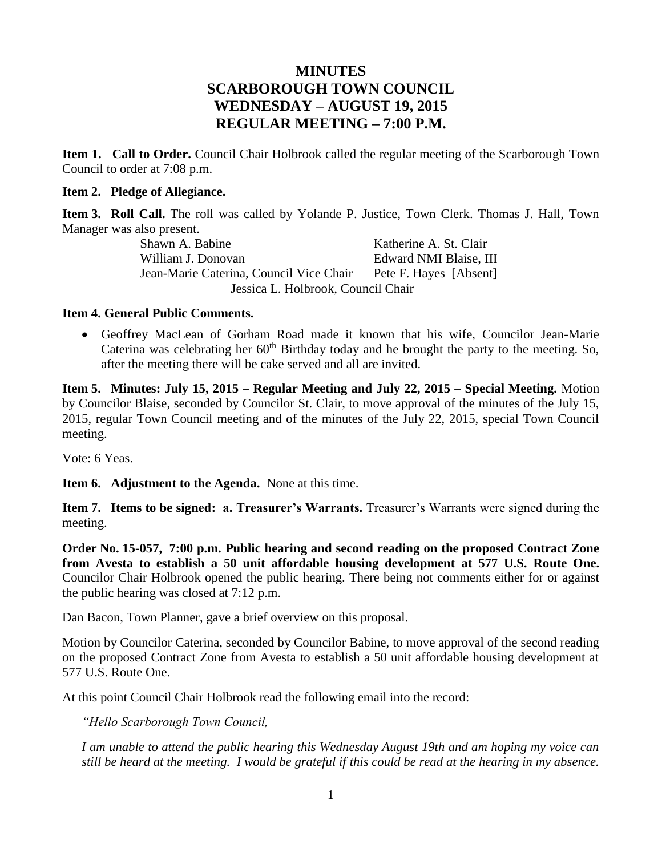# **MINUTES SCARBOROUGH TOWN COUNCIL WEDNESDAY – AUGUST 19, 2015 REGULAR MEETING – 7:00 P.M.**

**Item 1. Call to Order.** Council Chair Holbrook called the regular meeting of the Scarborough Town Council to order at 7:08 p.m.

### **Item 2. Pledge of Allegiance.**

**Item 3. Roll Call.** The roll was called by Yolande P. Justice, Town Clerk. Thomas J. Hall, Town Manager was also present.

Shawn A. Babine Katherine A. St. Clair William J. Donovan **Edward NMI Blaise**, III Jean-Marie Caterina, Council Vice Chair Pete F. Hayes [Absent] Jessica L. Holbrook, Council Chair

#### **Item 4. General Public Comments.**

 Geoffrey MacLean of Gorham Road made it known that his wife, Councilor Jean-Marie Caterina was celebrating her  $60<sup>th</sup>$  Birthday today and he brought the party to the meeting. So, after the meeting there will be cake served and all are invited.

**Item 5. Minutes: July 15, 2015 – Regular Meeting and July 22, 2015 – Special Meeting.** Motion by Councilor Blaise, seconded by Councilor St. Clair, to move approval of the minutes of the July 15, 2015, regular Town Council meeting and of the minutes of the July 22, 2015, special Town Council meeting.

Vote: 6 Yeas.

**Item 6. Adjustment to the Agenda.** None at this time.

**Item 7. Items to be signed: a. Treasurer's Warrants.** Treasurer's Warrants were signed during the meeting.

**Order No. 15-057, 7:00 p.m. Public hearing and second reading on the proposed Contract Zone from Avesta to establish a 50 unit affordable housing development at 577 U.S. Route One.** Councilor Chair Holbrook opened the public hearing. There being not comments either for or against the public hearing was closed at 7:12 p.m.

Dan Bacon, Town Planner, gave a brief overview on this proposal.

Motion by Councilor Caterina, seconded by Councilor Babine, to move approval of the second reading on the proposed Contract Zone from Avesta to establish a 50 unit affordable housing development at 577 U.S. Route One.

At this point Council Chair Holbrook read the following email into the record:

*"Hello Scarborough Town Council,*

*I am unable to attend the public hearing this Wednesday August 19th and am hoping my voice can still be heard at the meeting. I would be grateful if this could be read at the hearing in my absence.*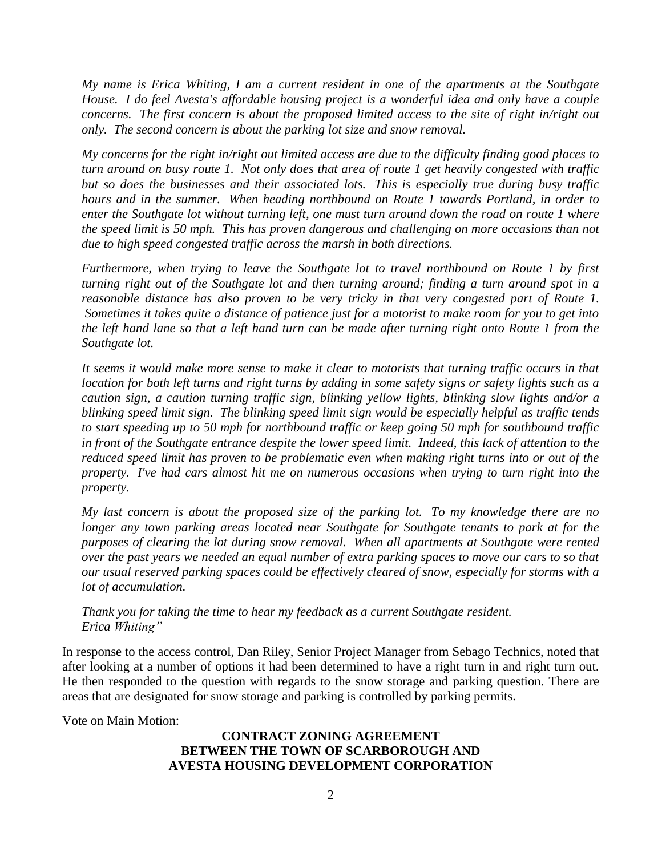*My name is Erica Whiting, I am a current resident in one of the apartments at the Southgate House. I do feel Avesta's affordable housing project is a wonderful idea and only have a couple concerns. The first concern is about the proposed limited access to the site of right in/right out only. The second concern is about the parking lot size and snow removal.* 

*My concerns for the right in/right out limited access are due to the difficulty finding good places to turn around on busy route 1. Not only does that area of route 1 get heavily congested with traffic but so does the businesses and their associated lots. This is especially true during busy traffic hours and in the summer. When heading northbound on Route 1 towards Portland, in order to enter the Southgate lot without turning left, one must turn around down the road on route 1 where the speed limit is 50 mph. This has proven dangerous and challenging on more occasions than not due to high speed congested traffic across the marsh in both directions.* 

*Furthermore, when trying to leave the Southgate lot to travel northbound on Route 1 by first turning right out of the Southgate lot and then turning around; finding a turn around spot in a reasonable distance has also proven to be very tricky in that very congested part of Route 1. Sometimes it takes quite a distance of patience just for a motorist to make room for you to get into the left hand lane so that a left hand turn can be made after turning right onto Route 1 from the Southgate lot.* 

*It seems it would make more sense to make it clear to motorists that turning traffic occurs in that location for both left turns and right turns by adding in some safety signs or safety lights such as a caution sign, a caution turning traffic sign, blinking yellow lights, blinking slow lights and/or a blinking speed limit sign. The blinking speed limit sign would be especially helpful as traffic tends to start speeding up to 50 mph for northbound traffic or keep going 50 mph for southbound traffic in front of the Southgate entrance despite the lower speed limit. Indeed, this lack of attention to the reduced speed limit has proven to be problematic even when making right turns into or out of the property. I've had cars almost hit me on numerous occasions when trying to turn right into the property.*

*My last concern is about the proposed size of the parking lot. To my knowledge there are no longer any town parking areas located near Southgate for Southgate tenants to park at for the purposes of clearing the lot during snow removal. When all apartments at Southgate were rented over the past years we needed an equal number of extra parking spaces to move our cars to so that our usual reserved parking spaces could be effectively cleared of snow, especially for storms with a lot of accumulation.*

*Thank you for taking the time to hear my feedback as a current Southgate resident. Erica Whiting"*

In response to the access control, Dan Riley, Senior Project Manager from Sebago Technics, noted that after looking at a number of options it had been determined to have a right turn in and right turn out. He then responded to the question with regards to the snow storage and parking question. There are areas that are designated for snow storage and parking is controlled by parking permits.

Vote on Main Motion:

### **CONTRACT ZONING AGREEMENT BETWEEN THE TOWN OF SCARBOROUGH AND AVESTA HOUSING DEVELOPMENT CORPORATION**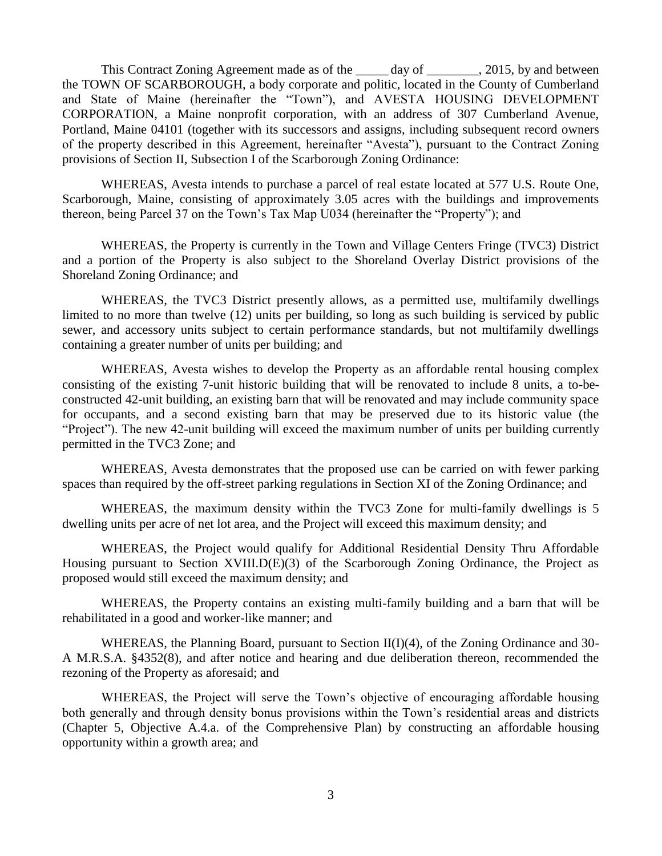This Contract Zoning Agreement made as of the <u>equal</u> day of <u>equal</u>, 2015, by and between the TOWN OF SCARBOROUGH, a body corporate and politic, located in the County of Cumberland and State of Maine (hereinafter the "Town"), and AVESTA HOUSING DEVELOPMENT CORPORATION, a Maine nonprofit corporation, with an address of 307 Cumberland Avenue, Portland, Maine 04101 (together with its successors and assigns, including subsequent record owners of the property described in this Agreement, hereinafter "Avesta"), pursuant to the Contract Zoning provisions of Section II, Subsection I of the Scarborough Zoning Ordinance:

WHEREAS, Avesta intends to purchase a parcel of real estate located at 577 U.S. Route One, Scarborough, Maine, consisting of approximately 3.05 acres with the buildings and improvements thereon, being Parcel 37 on the Town's Tax Map U034 (hereinafter the "Property"); and

WHEREAS, the Property is currently in the Town and Village Centers Fringe (TVC3) District and a portion of the Property is also subject to the Shoreland Overlay District provisions of the Shoreland Zoning Ordinance; and

WHEREAS, the TVC3 District presently allows, as a permitted use, multifamily dwellings limited to no more than twelve (12) units per building, so long as such building is serviced by public sewer, and accessory units subject to certain performance standards, but not multifamily dwellings containing a greater number of units per building; and

WHEREAS, Avesta wishes to develop the Property as an affordable rental housing complex consisting of the existing 7-unit historic building that will be renovated to include 8 units, a to-beconstructed 42-unit building, an existing barn that will be renovated and may include community space for occupants, and a second existing barn that may be preserved due to its historic value (the "Project"). The new 42-unit building will exceed the maximum number of units per building currently permitted in the TVC3 Zone; and

WHEREAS, Avesta demonstrates that the proposed use can be carried on with fewer parking spaces than required by the off-street parking regulations in Section XI of the Zoning Ordinance; and

WHEREAS, the maximum density within the TVC3 Zone for multi-family dwellings is 5 dwelling units per acre of net lot area, and the Project will exceed this maximum density; and

WHEREAS, the Project would qualify for Additional Residential Density Thru Affordable Housing pursuant to Section XVIII.D(E)(3) of the Scarborough Zoning Ordinance, the Project as proposed would still exceed the maximum density; and

WHEREAS, the Property contains an existing multi-family building and a barn that will be rehabilitated in a good and worker-like manner; and

WHEREAS, the Planning Board, pursuant to Section II(I)(4), of the Zoning Ordinance and 30-A M.R.S.A. §4352(8), and after notice and hearing and due deliberation thereon, recommended the rezoning of the Property as aforesaid; and

WHEREAS, the Project will serve the Town's objective of encouraging affordable housing both generally and through density bonus provisions within the Town's residential areas and districts (Chapter 5, Objective A.4.a. of the Comprehensive Plan) by constructing an affordable housing opportunity within a growth area; and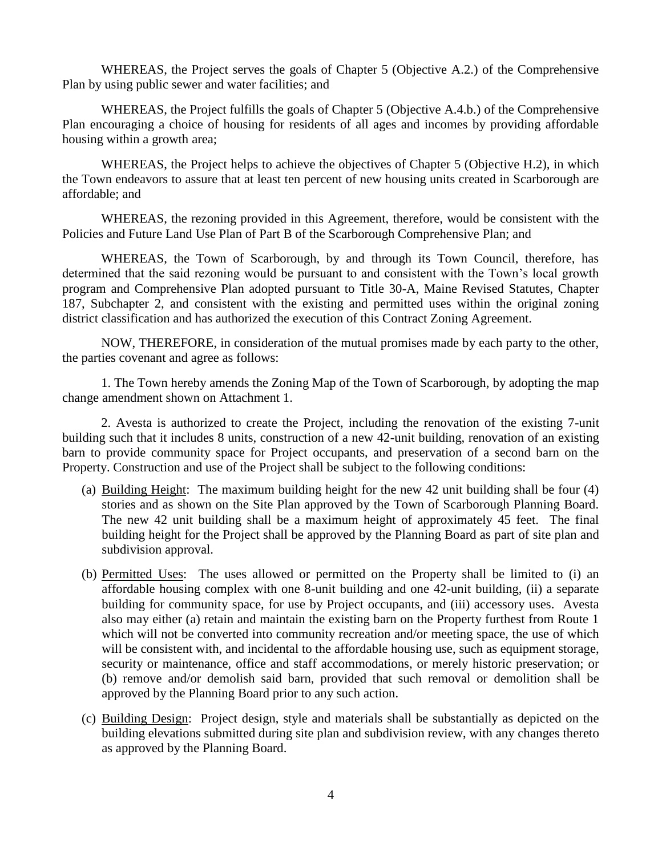WHEREAS, the Project serves the goals of Chapter 5 (Objective A.2.) of the Comprehensive Plan by using public sewer and water facilities; and

WHEREAS, the Project fulfills the goals of Chapter 5 (Objective A.4.b.) of the Comprehensive Plan encouraging a choice of housing for residents of all ages and incomes by providing affordable housing within a growth area;

WHEREAS, the Project helps to achieve the objectives of Chapter 5 (Objective H.2), in which the Town endeavors to assure that at least ten percent of new housing units created in Scarborough are affordable; and

WHEREAS, the rezoning provided in this Agreement, therefore, would be consistent with the Policies and Future Land Use Plan of Part B of the Scarborough Comprehensive Plan; and

WHEREAS, the Town of Scarborough, by and through its Town Council, therefore, has determined that the said rezoning would be pursuant to and consistent with the Town's local growth program and Comprehensive Plan adopted pursuant to Title 30-A, Maine Revised Statutes, Chapter 187, Subchapter 2, and consistent with the existing and permitted uses within the original zoning district classification and has authorized the execution of this Contract Zoning Agreement.

NOW, THEREFORE, in consideration of the mutual promises made by each party to the other, the parties covenant and agree as follows:

1. The Town hereby amends the Zoning Map of the Town of Scarborough, by adopting the map change amendment shown on Attachment 1.

2. Avesta is authorized to create the Project, including the renovation of the existing 7-unit building such that it includes 8 units, construction of a new 42-unit building, renovation of an existing barn to provide community space for Project occupants, and preservation of a second barn on the Property. Construction and use of the Project shall be subject to the following conditions:

- (a) Building Height: The maximum building height for the new 42 unit building shall be four (4) stories and as shown on the Site Plan approved by the Town of Scarborough Planning Board. The new 42 unit building shall be a maximum height of approximately 45 feet. The final building height for the Project shall be approved by the Planning Board as part of site plan and subdivision approval.
- (b) Permitted Uses: The uses allowed or permitted on the Property shall be limited to (i) an affordable housing complex with one 8-unit building and one 42-unit building, (ii) a separate building for community space, for use by Project occupants, and (iii) accessory uses. Avesta also may either (a) retain and maintain the existing barn on the Property furthest from Route 1 which will not be converted into community recreation and/or meeting space, the use of which will be consistent with, and incidental to the affordable housing use, such as equipment storage, security or maintenance, office and staff accommodations, or merely historic preservation; or (b) remove and/or demolish said barn, provided that such removal or demolition shall be approved by the Planning Board prior to any such action.
- (c) Building Design: Project design, style and materials shall be substantially as depicted on the building elevations submitted during site plan and subdivision review, with any changes thereto as approved by the Planning Board.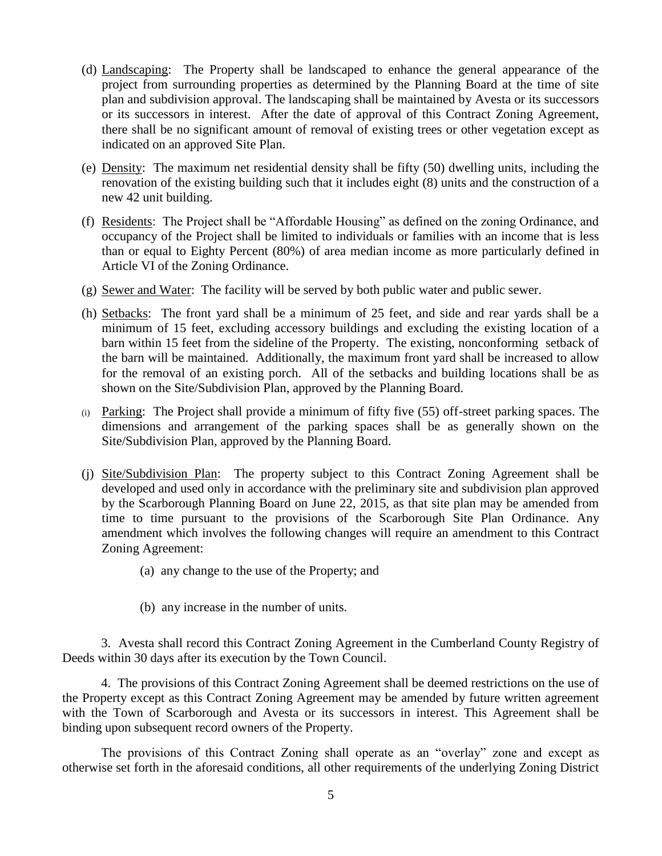- (d) Landscaping: The Property shall be landscaped to enhance the general appearance of the project from surrounding properties as determined by the Planning Board at the time of site plan and subdivision approval. The landscaping shall be maintained by Avesta or its successors or its successors in interest. After the date of approval of this Contract Zoning Agreement, there shall be no significant amount of removal of existing trees or other vegetation except as indicated on an approved Site Plan.
- (e) Density: The maximum net residential density shall be fifty (50) dwelling units, including the renovation of the existing building such that it includes eight (8) units and the construction of a new 42 unit building.
- (f) Residents: The Project shall be "Affordable Housing" as defined on the zoning Ordinance, and occupancy of the Project shall be limited to individuals or families with an income that is less than or equal to Eighty Percent (80%) of area median income as more particularly defined in Article VI of the Zoning Ordinance.
- (g) Sewer and Water: The facility will be served by both public water and public sewer.
- (h) Setbacks: The front yard shall be a minimum of 25 feet, and side and rear yards shall be a minimum of 15 feet, excluding accessory buildings and excluding the existing location of a barn within 15 feet from the sideline of the Property. The existing, nonconforming setback of the barn will be maintained. Additionally, the maximum front yard shall be increased to allow for the removal of an existing porch. All of the setbacks and building locations shall be as shown on the Site/Subdivision Plan, approved by the Planning Board.
- (i) Parking: The Project shall provide a minimum of fifty five (55) off-street parking spaces. The dimensions and arrangement of the parking spaces shall be as generally shown on the Site/Subdivision Plan, approved by the Planning Board.
- (j) Site/Subdivision Plan: The property subject to this Contract Zoning Agreement shall be developed and used only in accordance with the preliminary site and subdivision plan approved by the Scarborough Planning Board on June 22, 2015, as that site plan may be amended from time to time pursuant to the provisions of the Scarborough Site Plan Ordinance. Any amendment which involves the following changes will require an amendment to this Contract Zoning Agreement:
	- (a) any change to the use of the Property; and
	- (b) any increase in the number of units.

3. Avesta shall record this Contract Zoning Agreement in the Cumberland County Registry of Deeds within 30 days after its execution by the Town Council.

4. The provisions of this Contract Zoning Agreement shall be deemed restrictions on the use of the Property except as this Contract Zoning Agreement may be amended by future written agreement with the Town of Scarborough and Avesta or its successors in interest. This Agreement shall be binding upon subsequent record owners of the Property.

The provisions of this Contract Zoning shall operate as an "overlay" zone and except as otherwise set forth in the aforesaid conditions, all other requirements of the underlying Zoning District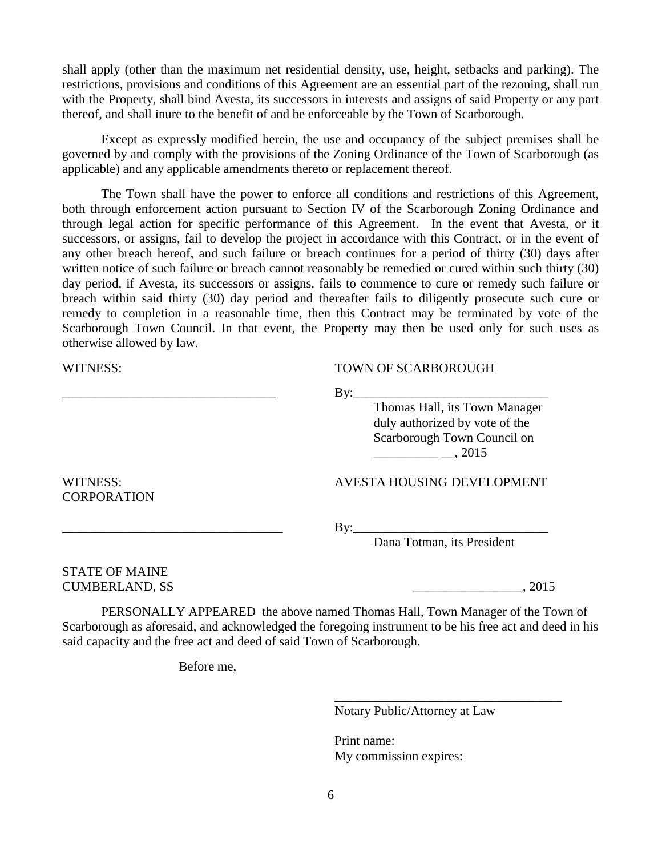shall apply (other than the maximum net residential density, use, height, setbacks and parking). The restrictions, provisions and conditions of this Agreement are an essential part of the rezoning, shall run with the Property, shall bind Avesta, its successors in interests and assigns of said Property or any part thereof, and shall inure to the benefit of and be enforceable by the Town of Scarborough.

Except as expressly modified herein, the use and occupancy of the subject premises shall be governed by and comply with the provisions of the Zoning Ordinance of the Town of Scarborough (as applicable) and any applicable amendments thereto or replacement thereof.

The Town shall have the power to enforce all conditions and restrictions of this Agreement, both through enforcement action pursuant to Section IV of the Scarborough Zoning Ordinance and through legal action for specific performance of this Agreement. In the event that Avesta, or it successors, or assigns, fail to develop the project in accordance with this Contract, or in the event of any other breach hereof, and such failure or breach continues for a period of thirty (30) days after written notice of such failure or breach cannot reasonably be remedied or cured within such thirty (30) day period, if Avesta, its successors or assigns, fails to commence to cure or remedy such failure or breach within said thirty (30) day period and thereafter fails to diligently prosecute such cure or remedy to completion in a reasonable time, then this Contract may be terminated by vote of the Scarborough Town Council. In that event, the Property may then be used only for such uses as otherwise allowed by law.

#### WITNESS: TOWN OF SCARBOROUGH

\_\_\_\_\_\_\_\_\_\_\_\_\_\_\_\_\_\_\_\_\_\_\_\_\_\_\_\_\_\_\_\_\_ By:\_\_\_\_\_\_\_\_\_\_\_\_\_\_\_\_\_\_\_\_\_\_\_\_\_\_\_\_\_\_

Thomas Hall, its Town Manager duly authorized by vote of the Scarborough Town Council on  $, 2015$ 

### WITNESS: AVESTA HOUSING DEVELOPMENT

\_\_\_\_\_\_\_\_\_\_\_\_\_\_\_\_\_\_\_\_\_\_\_\_\_\_\_\_\_\_\_\_\_\_ By:\_\_\_\_\_\_\_\_\_\_\_\_\_\_\_\_\_\_\_\_\_\_\_\_\_\_\_\_\_\_

Dana Totman, its President

STATE OF MAINE CUMBERLAND, SS \_\_\_\_\_\_\_\_\_\_\_\_\_\_\_\_\_, 2015

CORPORATION

PERSONALLY APPEARED the above named Thomas Hall, Town Manager of the Town of Scarborough as aforesaid, and acknowledged the foregoing instrument to be his free act and deed in his said capacity and the free act and deed of said Town of Scarborough.

Before me,

Notary Public/Attorney at Law

\_\_\_\_\_\_\_\_\_\_\_\_\_\_\_\_\_\_\_\_\_\_\_\_\_\_\_\_\_\_\_\_\_\_\_

Print name: My commission expires: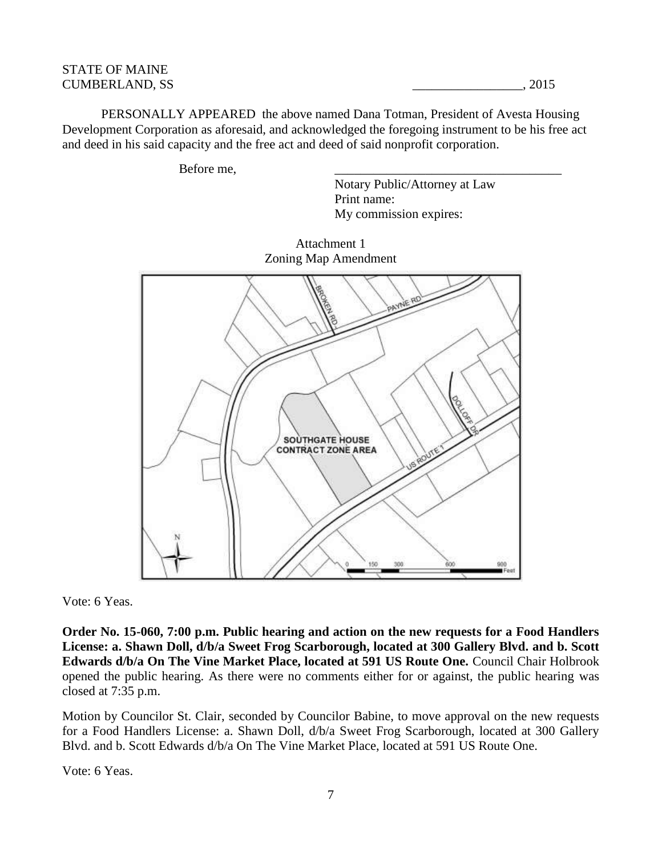### STATE OF MAINE CUMBERLAND, SS \_\_\_\_\_\_\_\_\_\_\_\_\_\_\_\_\_, 2015

PERSONALLY APPEARED the above named Dana Totman, President of Avesta Housing Development Corporation as aforesaid, and acknowledged the foregoing instrument to be his free act and deed in his said capacity and the free act and deed of said nonprofit corporation.

Before me.

Notary Public/Attorney at Law Print name: My commission expires:





Vote: 6 Yeas.

**Order No. 15-060, 7:00 p.m. Public hearing and action on the new requests for a Food Handlers License: a. Shawn Doll, d/b/a Sweet Frog Scarborough, located at 300 Gallery Blvd. and b. Scott Edwards d/b/a On The Vine Market Place, located at 591 US Route One.** Council Chair Holbrook opened the public hearing. As there were no comments either for or against, the public hearing was closed at 7:35 p.m.

Motion by Councilor St. Clair, seconded by Councilor Babine, to move approval on the new requests for a Food Handlers License: a. Shawn Doll, d/b/a Sweet Frog Scarborough, located at 300 Gallery Blvd. and b. Scott Edwards d/b/a On The Vine Market Place, located at 591 US Route One.

Vote: 6 Yeas.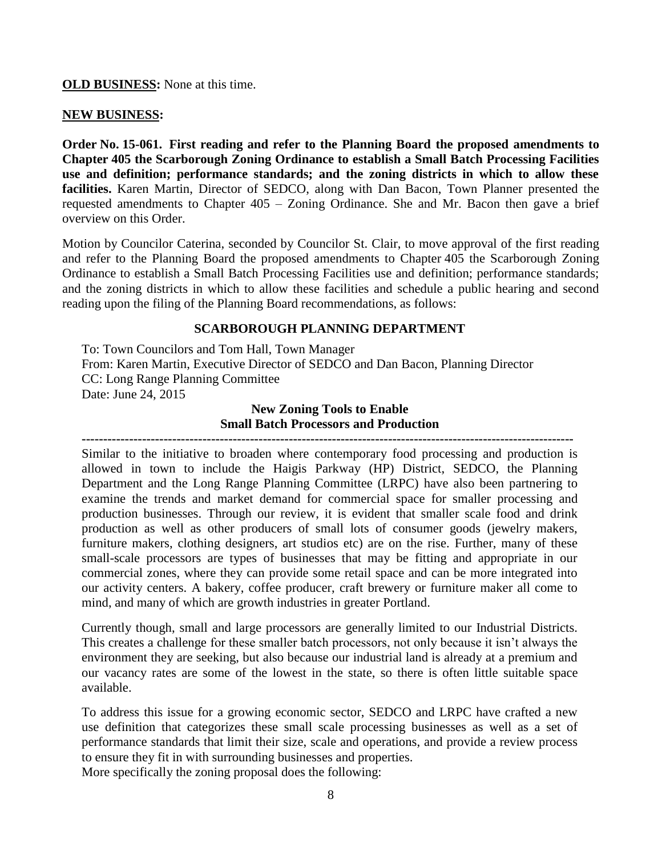**OLD BUSINESS:** None at this time.

#### **NEW BUSINESS:**

**Order No. 15-061. First reading and refer to the Planning Board the proposed amendments to Chapter 405 the Scarborough Zoning Ordinance to establish a Small Batch Processing Facilities use and definition; performance standards; and the zoning districts in which to allow these facilities.** Karen Martin, Director of SEDCO, along with Dan Bacon, Town Planner presented the requested amendments to Chapter 405 – Zoning Ordinance. She and Mr. Bacon then gave a brief overview on this Order.

Motion by Councilor Caterina, seconded by Councilor St. Clair, to move approval of the first reading and refer to the Planning Board the proposed amendments to Chapter 405 the Scarborough Zoning Ordinance to establish a Small Batch Processing Facilities use and definition; performance standards; and the zoning districts in which to allow these facilities and schedule a public hearing and second reading upon the filing of the Planning Board recommendations, as follows:

### **SCARBOROUGH PLANNING DEPARTMENT**

To: Town Councilors and Tom Hall, Town Manager From: Karen Martin, Executive Director of SEDCO and Dan Bacon, Planning Director CC: Long Range Planning Committee Date: June 24, 2015

## **New Zoning Tools to Enable Small Batch Processors and Production**

**------------------------------------------------------------------------------------------------------------------**

Similar to the initiative to broaden where contemporary food processing and production is allowed in town to include the Haigis Parkway (HP) District, SEDCO, the Planning Department and the Long Range Planning Committee (LRPC) have also been partnering to examine the trends and market demand for commercial space for smaller processing and production businesses. Through our review, it is evident that smaller scale food and drink production as well as other producers of small lots of consumer goods (jewelry makers, furniture makers, clothing designers, art studios etc) are on the rise. Further, many of these small-scale processors are types of businesses that may be fitting and appropriate in our commercial zones, where they can provide some retail space and can be more integrated into our activity centers. A bakery, coffee producer, craft brewery or furniture maker all come to mind, and many of which are growth industries in greater Portland.

Currently though, small and large processors are generally limited to our Industrial Districts. This creates a challenge for these smaller batch processors, not only because it isn't always the environment they are seeking, but also because our industrial land is already at a premium and our vacancy rates are some of the lowest in the state, so there is often little suitable space available.

To address this issue for a growing economic sector, SEDCO and LRPC have crafted a new use definition that categorizes these small scale processing businesses as well as a set of performance standards that limit their size, scale and operations, and provide a review process to ensure they fit in with surrounding businesses and properties.

More specifically the zoning proposal does the following: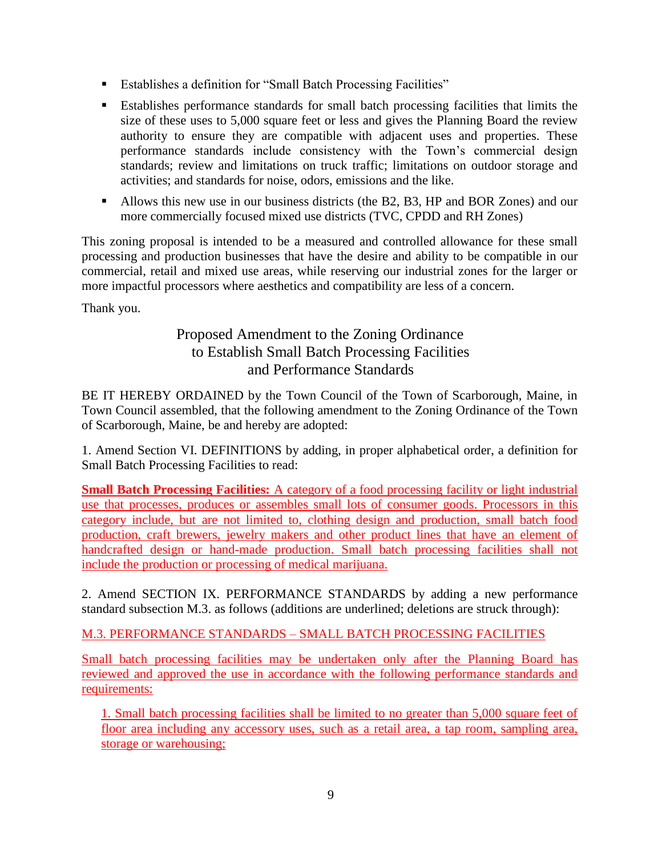- Establishes a definition for "Small Batch Processing Facilities"
- Establishes performance standards for small batch processing facilities that limits the size of these uses to 5,000 square feet or less and gives the Planning Board the review authority to ensure they are compatible with adjacent uses and properties. These performance standards include consistency with the Town's commercial design standards; review and limitations on truck traffic; limitations on outdoor storage and activities; and standards for noise, odors, emissions and the like.
- Allows this new use in our business districts (the B2, B3, HP and BOR Zones) and our more commercially focused mixed use districts (TVC, CPDD and RH Zones)

This zoning proposal is intended to be a measured and controlled allowance for these small processing and production businesses that have the desire and ability to be compatible in our commercial, retail and mixed use areas, while reserving our industrial zones for the larger or more impactful processors where aesthetics and compatibility are less of a concern.

Thank you.

# Proposed Amendment to the Zoning Ordinance to Establish Small Batch Processing Facilities and Performance Standards

BE IT HEREBY ORDAINED by the Town Council of the Town of Scarborough, Maine, in Town Council assembled, that the following amendment to the Zoning Ordinance of the Town of Scarborough, Maine, be and hereby are adopted:

1. Amend Section VI. DEFINITIONS by adding, in proper alphabetical order, a definition for Small Batch Processing Facilities to read:

**Small Batch Processing Facilities:** A category of a food processing facility or light industrial use that processes, produces or assembles small lots of consumer goods. Processors in this category include, but are not limited to, clothing design and production, small batch food production, craft brewers, jewelry makers and other product lines that have an element of handcrafted design or hand-made production. Small batch processing facilities shall not include the production or processing of medical marijuana.

2. Amend SECTION IX. PERFORMANCE STANDARDS by adding a new performance standard subsection M.3. as follows (additions are underlined; deletions are struck through):

# M.3. PERFORMANCE STANDARDS – SMALL BATCH PROCESSING FACILITIES

Small batch processing facilities may be undertaken only after the Planning Board has reviewed and approved the use in accordance with the following performance standards and requirements:

1. Small batch processing facilities shall be limited to no greater than 5,000 square feet of floor area including any accessory uses, such as a retail area, a tap room, sampling area, storage or warehousing;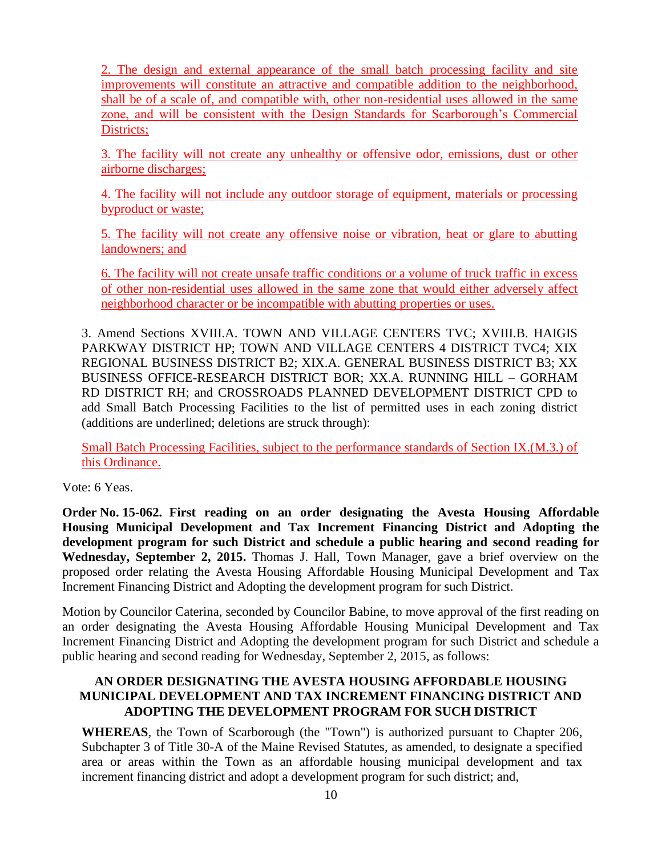2. The design and external appearance of the small batch processing facility and site improvements will constitute an attractive and compatible addition to the neighborhood, shall be of a scale of, and compatible with, other non-residential uses allowed in the same zone, and will be consistent with the Design Standards for Scarborough's Commercial Districts;

3. The facility will not create any unhealthy or offensive odor, emissions, dust or other airborne discharges;

4. The facility will not include any outdoor storage of equipment, materials or processing byproduct or waste;

5. The facility will not create any offensive noise or vibration, heat or glare to abutting landowners; and

6. The facility will not create unsafe traffic conditions or a volume of truck traffic in excess of other non-residential uses allowed in the same zone that would either adversely affect neighborhood character or be incompatible with abutting properties or uses.

3. Amend Sections XVIII.A. TOWN AND VILLAGE CENTERS TVC; XVIII.B. HAIGIS PARKWAY DISTRICT HP; TOWN AND VILLAGE CENTERS 4 DISTRICT TVC4; XIX REGIONAL BUSINESS DISTRICT B2; XIX.A. GENERAL BUSINESS DISTRICT B3; XX BUSINESS OFFICE-RESEARCH DISTRICT BOR; XX.A. RUNNING HILL – GORHAM RD DISTRICT RH; and CROSSROADS PLANNED DEVELOPMENT DISTRICT CPD to add Small Batch Processing Facilities to the list of permitted uses in each zoning district (additions are underlined; deletions are struck through):

Small Batch Processing Facilities, subject to the performance standards of Section IX.(M.3.) of this Ordinance.

Vote: 6 Yeas.

**Order No. 15-062. First reading on an order designating the Avesta Housing Affordable Housing Municipal Development and Tax Increment Financing District and Adopting the development program for such District and schedule a public hearing and second reading for Wednesday, September 2, 2015.** Thomas J. Hall, Town Manager, gave a brief overview on the proposed order relating the Avesta Housing Affordable Housing Municipal Development and Tax Increment Financing District and Adopting the development program for such District.

Motion by Councilor Caterina, seconded by Councilor Babine, to move approval of the first reading on an order designating the Avesta Housing Affordable Housing Municipal Development and Tax Increment Financing District and Adopting the development program for such District and schedule a public hearing and second reading for Wednesday, September 2, 2015, as follows:

## **AN ORDER DESIGNATING THE AVESTA HOUSING AFFORDABLE HOUSING MUNICIPAL DEVELOPMENT AND TAX INCREMENT FINANCING DISTRICT AND ADOPTING THE DEVELOPMENT PROGRAM FOR SUCH DISTRICT**

**WHEREAS**, the Town of Scarborough (the "Town") is authorized pursuant to Chapter 206, Subchapter 3 of Title 30-A of the Maine Revised Statutes, as amended, to designate a specified area or areas within the Town as an affordable housing municipal development and tax increment financing district and adopt a development program for such district; and,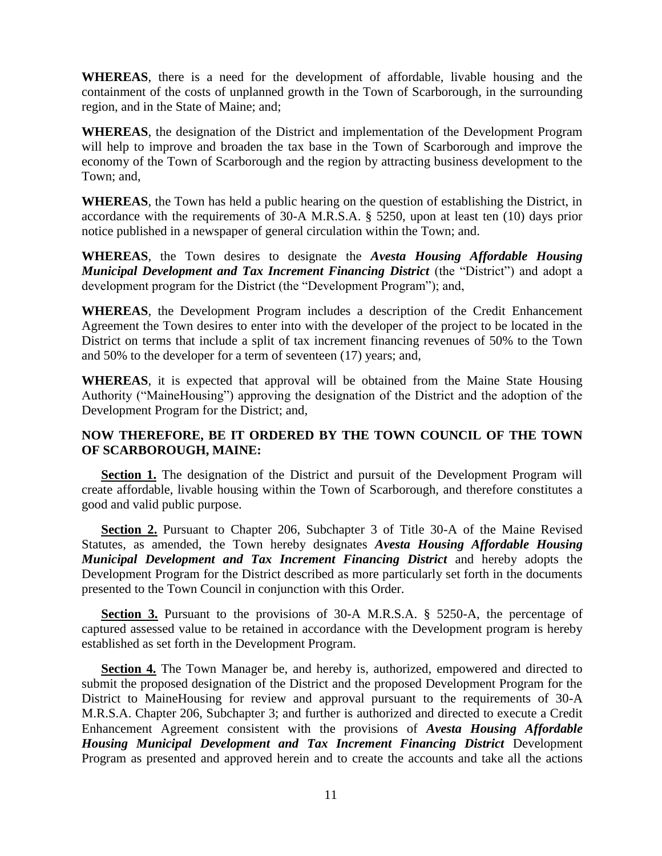**WHEREAS**, there is a need for the development of affordable, livable housing and the containment of the costs of unplanned growth in the Town of Scarborough, in the surrounding region, and in the State of Maine; and;

**WHEREAS**, the designation of the District and implementation of the Development Program will help to improve and broaden the tax base in the Town of Scarborough and improve the economy of the Town of Scarborough and the region by attracting business development to the Town; and,

**WHEREAS**, the Town has held a public hearing on the question of establishing the District, in accordance with the requirements of 30-A M.R.S.A. § 5250, upon at least ten (10) days prior notice published in a newspaper of general circulation within the Town; and.

**WHEREAS**, the Town desires to designate the *Avesta Housing Affordable Housing Municipal Development and Tax Increment Financing District* (the "District") and adopt a development program for the District (the "Development Program"); and,

**WHEREAS**, the Development Program includes a description of the Credit Enhancement Agreement the Town desires to enter into with the developer of the project to be located in the District on terms that include a split of tax increment financing revenues of 50% to the Town and 50% to the developer for a term of seventeen (17) years; and,

**WHEREAS**, it is expected that approval will be obtained from the Maine State Housing Authority ("MaineHousing") approving the designation of the District and the adoption of the Development Program for the District; and,

### **NOW THEREFORE, BE IT ORDERED BY THE TOWN COUNCIL OF THE TOWN OF SCARBOROUGH, MAINE:**

**Section 1.** The designation of the District and pursuit of the Development Program will create affordable, livable housing within the Town of Scarborough, and therefore constitutes a good and valid public purpose.

**Section 2.** Pursuant to Chapter 206, Subchapter 3 of Title 30-A of the Maine Revised Statutes, as amended, the Town hereby designates *Avesta Housing Affordable Housing Municipal Development and Tax Increment Financing District* and hereby adopts the Development Program for the District described as more particularly set forth in the documents presented to the Town Council in conjunction with this Order.

**Section 3.** Pursuant to the provisions of 30-A M.R.S.A. § 5250-A, the percentage of captured assessed value to be retained in accordance with the Development program is hereby established as set forth in the Development Program.

**Section 4.** The Town Manager be, and hereby is, authorized, empowered and directed to submit the proposed designation of the District and the proposed Development Program for the District to MaineHousing for review and approval pursuant to the requirements of 30-A M.R.S.A. Chapter 206, Subchapter 3; and further is authorized and directed to execute a Credit Enhancement Agreement consistent with the provisions of *Avesta Housing Affordable Housing Municipal Development and Tax Increment Financing District* Development Program as presented and approved herein and to create the accounts and take all the actions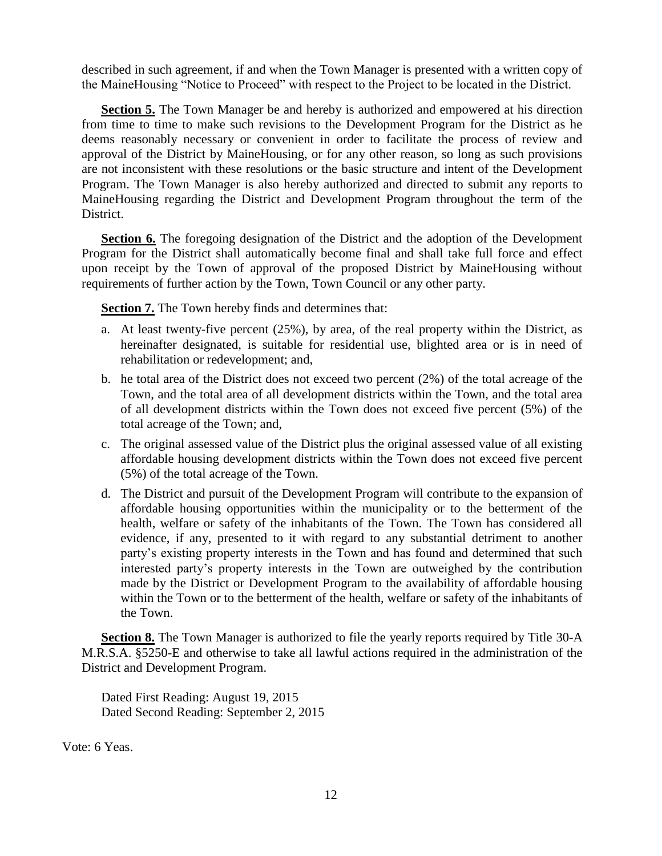described in such agreement, if and when the Town Manager is presented with a written copy of the MaineHousing "Notice to Proceed" with respect to the Project to be located in the District.

**Section 5.** The Town Manager be and hereby is authorized and empowered at his direction from time to time to make such revisions to the Development Program for the District as he deems reasonably necessary or convenient in order to facilitate the process of review and approval of the District by MaineHousing, or for any other reason, so long as such provisions are not inconsistent with these resolutions or the basic structure and intent of the Development Program. The Town Manager is also hereby authorized and directed to submit any reports to MaineHousing regarding the District and Development Program throughout the term of the District.

**Section 6.** The foregoing designation of the District and the adoption of the Development Program for the District shall automatically become final and shall take full force and effect upon receipt by the Town of approval of the proposed District by MaineHousing without requirements of further action by the Town, Town Council or any other party.

**Section 7.** The Town hereby finds and determines that:

- a. At least twenty-five percent (25%), by area, of the real property within the District, as hereinafter designated, is suitable for residential use, blighted area or is in need of rehabilitation or redevelopment; and,
- b. he total area of the District does not exceed two percent (2%) of the total acreage of the Town, and the total area of all development districts within the Town, and the total area of all development districts within the Town does not exceed five percent (5%) of the total acreage of the Town; and,
- c. The original assessed value of the District plus the original assessed value of all existing affordable housing development districts within the Town does not exceed five percent (5%) of the total acreage of the Town.
- d. The District and pursuit of the Development Program will contribute to the expansion of affordable housing opportunities within the municipality or to the betterment of the health, welfare or safety of the inhabitants of the Town. The Town has considered all evidence, if any, presented to it with regard to any substantial detriment to another party's existing property interests in the Town and has found and determined that such interested party's property interests in the Town are outweighed by the contribution made by the District or Development Program to the availability of affordable housing within the Town or to the betterment of the health, welfare or safety of the inhabitants of the Town.

**Section 8.** The Town Manager is authorized to file the yearly reports required by Title 30-A M.R.S.A. §5250-E and otherwise to take all lawful actions required in the administration of the District and Development Program.

Dated First Reading: August 19, 2015 Dated Second Reading: September 2, 2015

Vote: 6 Yeas.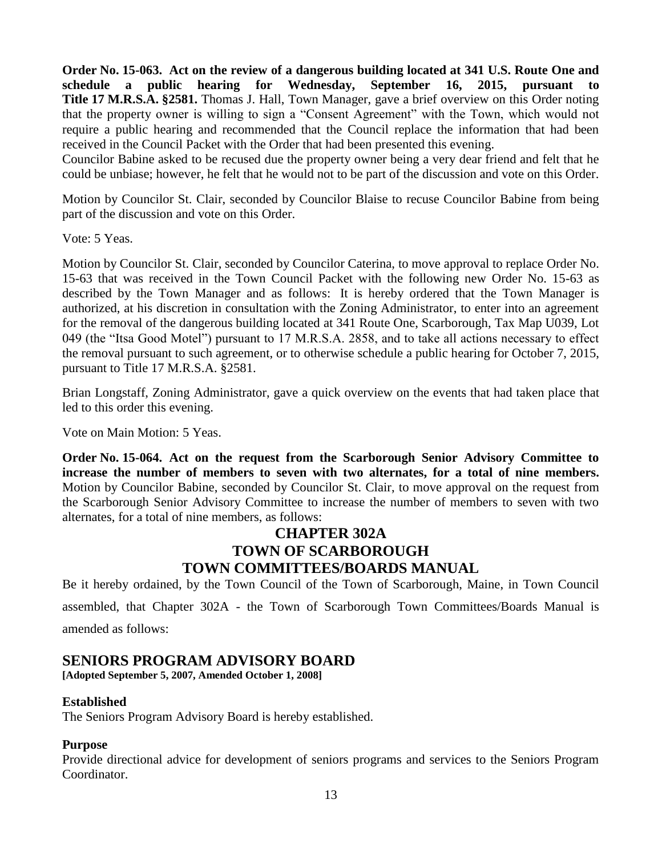**Order No. 15-063. Act on the review of a dangerous building located at 341 U.S. Route One and schedule a public hearing for Wednesday, September 16, 2015, pursuant to Title 17 M.R.S.A. §2581.** Thomas J. Hall, Town Manager, gave a brief overview on this Order noting that the property owner is willing to sign a "Consent Agreement" with the Town, which would not require a public hearing and recommended that the Council replace the information that had been received in the Council Packet with the Order that had been presented this evening.

Councilor Babine asked to be recused due the property owner being a very dear friend and felt that he could be unbiase; however, he felt that he would not to be part of the discussion and vote on this Order.

Motion by Councilor St. Clair, seconded by Councilor Blaise to recuse Councilor Babine from being part of the discussion and vote on this Order.

Vote: 5 Yeas.

Motion by Councilor St. Clair, seconded by Councilor Caterina, to move approval to replace Order No. 15-63 that was received in the Town Council Packet with the following new Order No. 15-63 as described by the Town Manager and as follows: It is hereby ordered that the Town Manager is authorized, at his discretion in consultation with the Zoning Administrator, to enter into an agreement for the removal of the dangerous building located at 341 Route One, Scarborough, Tax Map U039, Lot 049 (the "Itsa Good Motel") pursuant to 17 M.R.S.A. 2858, and to take all actions necessary to effect the removal pursuant to such agreement, or to otherwise schedule a public hearing for October 7, 2015, pursuant to Title 17 M.R.S.A. §2581.

Brian Longstaff, Zoning Administrator, gave a quick overview on the events that had taken place that led to this order this evening.

Vote on Main Motion: 5 Yeas.

**Order No. 15-064. Act on the request from the Scarborough Senior Advisory Committee to increase the number of members to seven with two alternates, for a total of nine members.** Motion by Councilor Babine, seconded by Councilor St. Clair, to move approval on the request from the Scarborough Senior Advisory Committee to increase the number of members to seven with two alternates, for a total of nine members, as follows:

# **CHAPTER 302A TOWN OF SCARBOROUGH TOWN COMMITTEES/BOARDS MANUAL**

Be it hereby ordained, by the Town Council of the Town of Scarborough, Maine, in Town Council assembled, that Chapter 302A - the Town of Scarborough Town Committees/Boards Manual is amended as follows:

# **SENIORS PROGRAM ADVISORY BOARD**

**[Adopted September 5, 2007, Amended October 1, 2008]**

### **Established**

The Seniors Program Advisory Board is hereby established.

### **Purpose**

Provide directional advice for development of seniors programs and services to the Seniors Program Coordinator.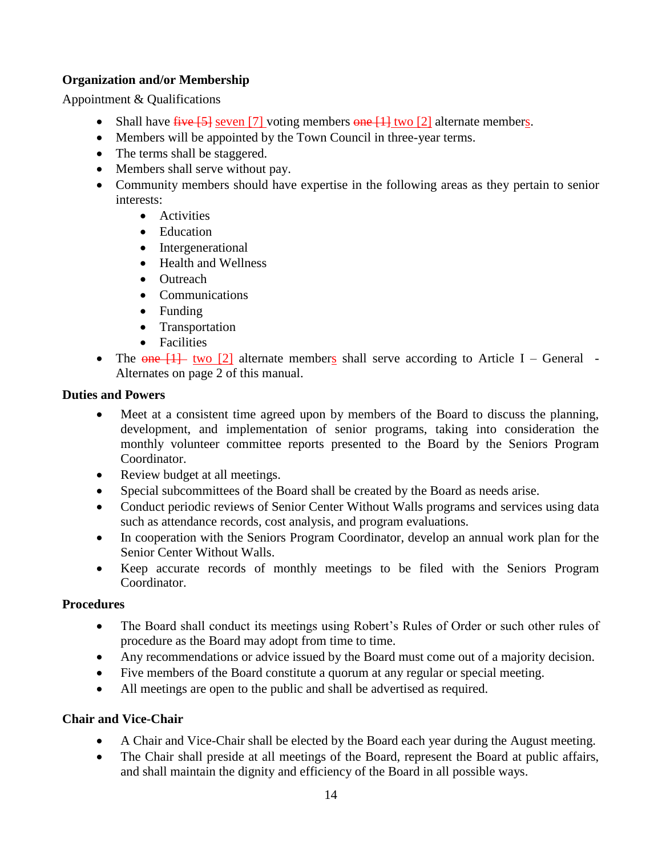## **Organization and/or Membership**

Appointment & Qualifications

- Shall have  $\frac{f}{f}$  Seven [7] voting members  $\frac{f}{f}$  alternate members.
- Members will be appointed by the Town Council in three-year terms.
- The terms shall be staggered.
- Members shall serve without pay.
- Community members should have expertise in the following areas as they pertain to senior interests:
	- Activities
	- Education
	- Intergenerational
	- Health and Wellness
	- Outreach
	- Communications
	- Funding
	- Transportation
	- Facilities
- The  $\overline{one}$  [1] two [2] alternate members shall serve according to Article I General -Alternates on page 2 of this manual.

### **Duties and Powers**

- Meet at a consistent time agreed upon by members of the Board to discuss the planning, development, and implementation of senior programs, taking into consideration the monthly volunteer committee reports presented to the Board by the Seniors Program Coordinator.
- Review budget at all meetings.
- Special subcommittees of the Board shall be created by the Board as needs arise.
- Conduct periodic reviews of Senior Center Without Walls programs and services using data such as attendance records, cost analysis, and program evaluations.
- In cooperation with the Seniors Program Coordinator, develop an annual work plan for the Senior Center Without Walls.
- Keep accurate records of monthly meetings to be filed with the Seniors Program Coordinator.

### **Procedures**

- The Board shall conduct its meetings using Robert's Rules of Order or such other rules of procedure as the Board may adopt from time to time.
- Any recommendations or advice issued by the Board must come out of a majority decision.
- Five members of the Board constitute a quorum at any regular or special meeting.
- All meetings are open to the public and shall be advertised as required.

### **Chair and Vice-Chair**

- A Chair and Vice-Chair shall be elected by the Board each year during the August meeting.
- The Chair shall preside at all meetings of the Board, represent the Board at public affairs, and shall maintain the dignity and efficiency of the Board in all possible ways.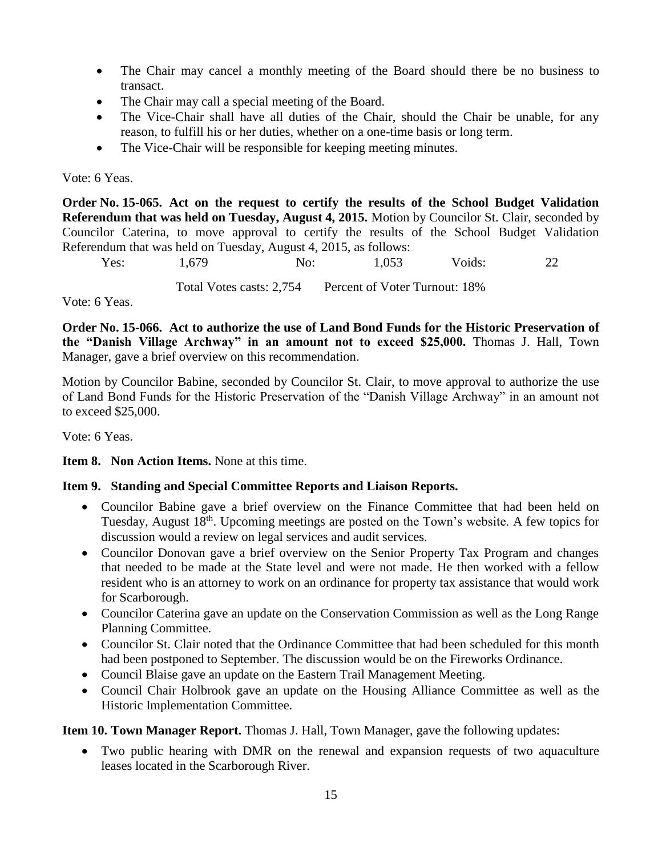- The Chair may cancel a monthly meeting of the Board should there be no business to transact.
- The Chair may call a special meeting of the Board.
- The Vice-Chair shall have all duties of the Chair, should the Chair be unable, for any reason, to fulfill his or her duties, whether on a one-time basis or long term.
- The Vice-Chair will be responsible for keeping meeting minutes.

## Vote: 6 Yeas.

**Order No. 15-065. Act on the request to certify the results of the School Budget Validation Referendum that was held on Tuesday, August 4, 2015.** Motion by Councilor St. Clair, seconded by Councilor Caterina, to move approval to certify the results of the School Budget Validation Referendum that was held on Tuesday, August 4, 2015, as follows:

Yes: 1,679 No: 1,053 Voids: 22 Total Votes casts: 2,754 Percent of Voter Turnout: 18%

Vote: 6 Yeas.

**Order No. 15-066. Act to authorize the use of Land Bond Funds for the Historic Preservation of the "Danish Village Archway" in an amount not to exceed \$25,000.** Thomas J. Hall, Town Manager, gave a brief overview on this recommendation.

Motion by Councilor Babine, seconded by Councilor St. Clair, to move approval to authorize the use of Land Bond Funds for the Historic Preservation of the "Danish Village Archway" in an amount not to exceed \$25,000.

Vote: 6 Yeas.

### **Item 8. Non Action Items.** None at this time.

# **Item 9. Standing and Special Committee Reports and Liaison Reports.**

- Councilor Babine gave a brief overview on the Finance Committee that had been held on Tuesday, August 18th. Upcoming meetings are posted on the Town's website. A few topics for discussion would a review on legal services and audit services.
- Councilor Donovan gave a brief overview on the Senior Property Tax Program and changes that needed to be made at the State level and were not made. He then worked with a fellow resident who is an attorney to work on an ordinance for property tax assistance that would work for Scarborough.
- Councilor Caterina gave an update on the Conservation Commission as well as the Long Range Planning Committee.
- Councilor St. Clair noted that the Ordinance Committee that had been scheduled for this month had been postponed to September. The discussion would be on the Fireworks Ordinance.
- Council Blaise gave an update on the Eastern Trail Management Meeting.
- Council Chair Holbrook gave an update on the Housing Alliance Committee as well as the Historic Implementation Committee.

**Item 10. Town Manager Report.** Thomas J. Hall, Town Manager, gave the following updates:

 Two public hearing with DMR on the renewal and expansion requests of two aquaculture leases located in the Scarborough River.